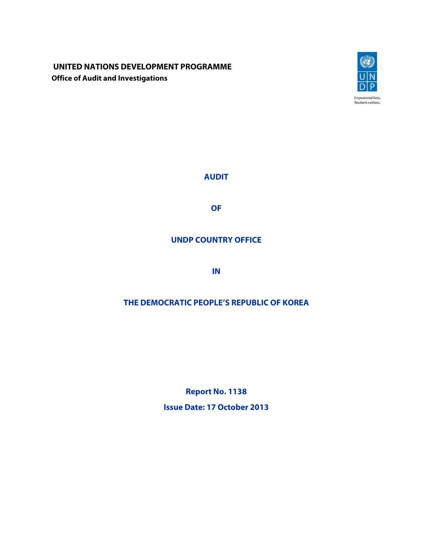# **UNITED NATIONS DEVELOPMENT PROGRAMME Office of Audit and Investigations**



**AUDIT** 

**OF** 

# **UNDP COUNTRY OFFICE**

**IN** 

# **THE DEMOCRATIC PEOPLE'S REPUBLIC OF KOREA**

**Report No. 1138 Issue Date: 17 October 2013**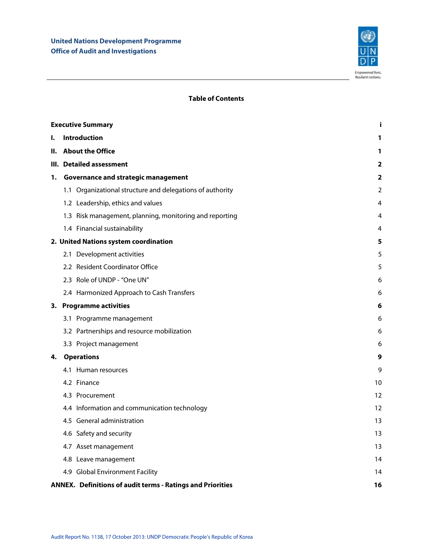

## **Table of Contents**

|    | <b>Executive Summary</b><br>j                              |    |
|----|------------------------------------------------------------|----|
| I. | <b>Introduction</b>                                        | 1  |
| н. | <b>About the Office</b>                                    | 1  |
|    | III. Detailed assessment                                   | 2  |
| 1. | Governance and strategic management                        | 2  |
|    | 1.1 Organizational structure and delegations of authority  | 2  |
|    | 1.2 Leadership, ethics and values                          | 4  |
|    | 1.3 Risk management, planning, monitoring and reporting    | 4  |
|    | 1.4 Financial sustainability                               | 4  |
|    | 2. United Nations system coordination                      | 5  |
|    | 2.1 Development activities                                 | 5  |
|    | 2.2 Resident Coordinator Office                            | 5  |
|    | 2.3 Role of UNDP - "One UN"                                | 6  |
|    | 2.4 Harmonized Approach to Cash Transfers                  | 6  |
|    | 3. Programme activities                                    | 6  |
|    | 3.1 Programme management                                   | 6  |
|    | 3.2 Partnerships and resource mobilization                 | 6  |
|    | 3.3 Project management                                     | 6  |
| 4. | <b>Operations</b>                                          | 9  |
|    | 4.1 Human resources                                        | 9  |
|    | 4.2 Finance                                                | 10 |
|    | 4.3 Procurement                                            | 12 |
|    | 4.4 Information and communication technology               | 12 |
|    | 4.5 General administration                                 | 13 |
|    | 4.6 Safety and security                                    | 13 |
|    | 4.7 Asset management                                       | 13 |
|    | 4.8 Leave management                                       | 14 |
|    | 4.9 Global Environment Facility                            | 14 |
|    | ANNEX. Definitions of audit terms - Ratings and Priorities | 16 |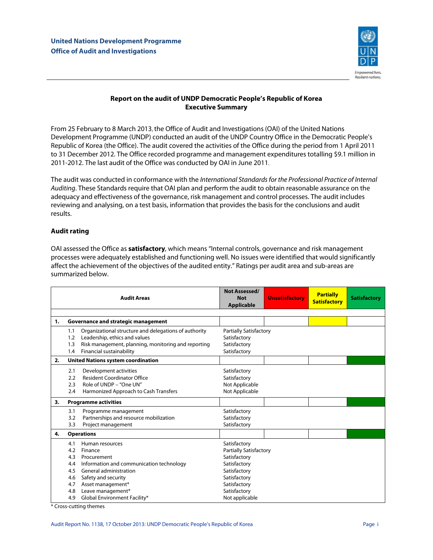

## **Report on the audit of UNDP Democratic People's Republic of Korea Executive Summary**

From 25 February to 8 March 2013, the Office of Audit and Investigations (OAI) of the United Nations Development Programme (UNDP) conducted an audit of the UNDP Country Office in the Democratic People's Republic of Korea (the Office). The audit covered the activities of the Office during the period from 1 April 2011 to 31 December 2012. The Office recorded programme and management expenditures totalling \$9.1 million in 2011-2012. The last audit of the Office was conducted by OAI in June 2011.

The audit was conducted in conformance with the International Standards for the Professional Practice of Internal Auditing. These Standards require that OAI plan and perform the audit to obtain reasonable assurance on the adequacy and effectiveness of the governance, risk management and control processes. The audit includes reviewing and analysing, on a test basis, information that provides the basis for the conclusions and audit results.

## **Audit rating**

OAI assessed the Office as **satisfactory**, which means "Internal controls, governance and risk management processes were adequately established and functioning well. No issues were identified that would significantly affect the achievement of the objectives of the audited entity." Ratings per audit area and sub-areas are summarized below.

|    | <b>Audit Areas</b>                                                                                                                                                                                                                       | <b>Not Assessed/</b><br><b>Not</b><br><b>Applicable</b>                                                                                       | <b>Unsatisfactory</b> | <b>Partially</b><br><b>Satisfactory</b> | <b>Satisfactory</b> |
|----|------------------------------------------------------------------------------------------------------------------------------------------------------------------------------------------------------------------------------------------|-----------------------------------------------------------------------------------------------------------------------------------------------|-----------------------|-----------------------------------------|---------------------|
| 1. | Governance and strategic management                                                                                                                                                                                                      |                                                                                                                                               |                       |                                         |                     |
|    | Organizational structure and delegations of authority<br>1.1<br>Leadership, ethics and values<br>1.2<br>Risk management, planning, monitoring and reporting<br>1.3<br>Financial sustainability<br>1.4                                    | <b>Partially Satisfactory</b><br>Satisfactory<br>Satisfactory<br>Satisfactory                                                                 |                       |                                         |                     |
| 2. | <b>United Nations system coordination</b>                                                                                                                                                                                                |                                                                                                                                               |                       |                                         |                     |
|    | Development activities<br>2.1<br><b>Resident Coordinator Office</b><br>2.2<br>Role of UNDP - "One UN"<br>2.3<br>Harmonized Approach to Cash Transfers<br>2.4                                                                             | Satisfactory<br>Satisfactory<br>Not Applicable<br>Not Applicable                                                                              |                       |                                         |                     |
| 3. | <b>Programme activities</b>                                                                                                                                                                                                              |                                                                                                                                               |                       |                                         |                     |
|    | Programme management<br>3.1<br>Partnerships and resource mobilization<br>3.2<br>Project management<br>3.3                                                                                                                                | Satisfactory<br>Satisfactory<br>Satisfactory                                                                                                  |                       |                                         |                     |
| 4. | <b>Operations</b>                                                                                                                                                                                                                        |                                                                                                                                               |                       |                                         |                     |
|    | Human resources<br>4.1<br>4.2<br>Finance<br>4.3<br>Procurement<br>Information and communication technology<br>4.4<br>General administration<br>4.5<br>Safety and security<br>4.6<br>Asset management*<br>4.7<br>Leave management*<br>4.8 | Satisfactory<br><b>Partially Satisfactory</b><br>Satisfactory<br>Satisfactory<br>Satisfactory<br>Satisfactory<br>Satisfactory<br>Satisfactory |                       |                                         |                     |
|    | Global Environment Facility*<br>4.9                                                                                                                                                                                                      | Not applicable                                                                                                                                |                       |                                         |                     |

\* Cross-cutting themes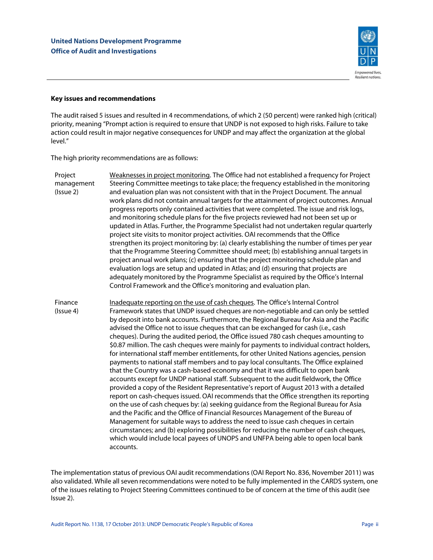

### **Key issues and recommendations**

The audit raised 5 issues and resulted in 4 recommendations, of which 2 (50 percent) were ranked high (critical) priority, meaning "Prompt action is required to ensure that UNDP is not exposed to high risks. Failure to take action could result in major negative consequences for UNDP and may affect the organization at the global level."

The high priority recommendations are as follows:

- Project management (Issue 2) Weaknesses in project monitoring. The Office had not established a frequency for Project Steering Committee meetings to take place; the frequency established in the monitoring and evaluation plan was not consistent with that in the Project Document. The annual work plans did not contain annual targets for the attainment of project outcomes. Annual progress reports only contained activities that were completed. The issue and risk logs, and monitoring schedule plans for the five projects reviewed had not been set up or updated in Atlas. Further, the Programme Specialist had not undertaken regular quarterly project site visits to monitor project activities. OAI recommends that the Office strengthen its project monitoring by: (a) clearly establishing the number of times per year that the Programme Steering Committee should meet; (b) establishing annual targets in project annual work plans; (c) ensuring that the project monitoring schedule plan and evaluation logs are setup and updated in Atlas; and (d) ensuring that projects are adequately monitored by the Programme Specialist as required by the Office's Internal Control Framework and the Office's monitoring and evaluation plan. Finance Inadequate reporting on the use of cash cheques. The Office's Internal Control
- (Issue 4) Framework states that UNDP issued cheques are non-negotiable and can only be settled by deposit into bank accounts. Furthermore, the Regional Bureau for Asia and the Pacific advised the Office not to issue cheques that can be exchanged for cash (i.e., cash cheques). During the audited period, the Office issued 780 cash cheques amounting to \$0.87 million. The cash cheques were mainly for payments to individual contract holders, for international staff member entitlements, for other United Nations agencies, pension payments to national staff members and to pay local consultants. The Office explained that the Country was a cash-based economy and that it was difficult to open bank accounts except for UNDP national staff. Subsequent to the audit fieldwork, the Office provided a copy of the Resident Representative's report of August 2013 with a detailed report on cash-cheques issued. OAI recommends that the Office strengthen its reporting on the use of cash cheques by: (a) seeking guidance from the Regional Bureau for Asia and the Pacific and the Office of Financial Resources Management of the Bureau of Management for suitable ways to address the need to issue cash cheques in certain circumstances; and (b) exploring possibilities for reducing the number of cash cheques, which would include local payees of UNOPS and UNFPA being able to open local bank accounts.

The implementation status of previous OAI audit recommendations (OAI Report No. 836, November 2011) was also validated. While all seven recommendations were noted to be fully implemented in the CARDS system, one of the issues relating to Project Steering Committees continued to be of concern at the time of this audit (see Issue 2).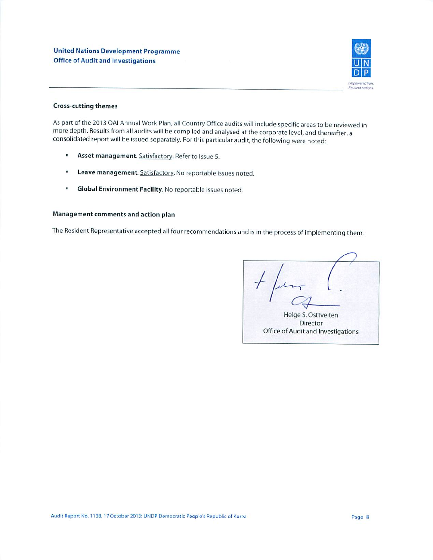

## **Cross-cutting themes**

As part of the 2013 OAI Annual Work Plan, all Country Office audits will include specific areas to be reviewed in more depth. Results from all audits will be compiled and analysed at the corporate level, and thereafter, a consolidated report will be issued separately. For this particular audit, the following were noted:

- $\blacksquare$ Asset management. Satisfactory. Refer to Issue 5.
- u, Leave management. Satisfactory. No reportable issues noted.
- $\mathbf{u}$ Global Environment Facility. No reportable issues noted.

## Management comments and action plan

The Resident Representative accepted all four recommendations and is in the process of implementing them.

Helge S. Osttveiten Director Office of Audit and Investigations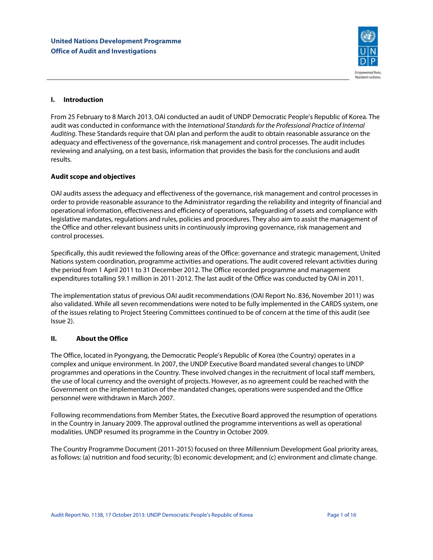

## **I. Introduction**

From 25 February to 8 March 2013, OAI conducted an audit of UNDP Democratic People's Republic of Korea. The audit was conducted in conformance with the International Standards for the Professional Practice of Internal Auditing. These Standards require that OAI plan and perform the audit to obtain reasonable assurance on the adequacy and effectiveness of the governance, risk management and control processes. The audit includes reviewing and analysing, on a test basis, information that provides the basis for the conclusions and audit results.

## **Audit scope and objectives**

OAI audits assess the adequacy and effectiveness of the governance, risk management and control processes in order to provide reasonable assurance to the Administrator regarding the reliability and integrity of financial and operational information, effectiveness and efficiency of operations, safeguarding of assets and compliance with legislative mandates, regulations and rules, policies and procedures. They also aim to assist the management of the Office and other relevant business units in continuously improving governance, risk management and control processes.

Specifically, this audit reviewed the following areas of the Office: governance and strategic management, United Nations system coordination, programme activities and operations. The audit covered relevant activities during the period from 1 April 2011 to 31 December 2012. The Office recorded programme and management expenditures totalling \$9.1 million in 2011-2012. The last audit of the Office was conducted by OAI in 2011.

The implementation status of previous OAI audit recommendations (OAI Report No. 836, November 2011) was also validated. While all seven recommendations were noted to be fully implemented in the CARDS system, one of the issues relating to Project Steering Committees continued to be of concern at the time of this audit (see Issue 2).

## **II. About the Office**

The Office, located in Pyongyang, the Democratic People's Republic of Korea (the Country) operates in a complex and unique environment. In 2007, the UNDP Executive Board mandated several changes to UNDP programmes and operations in the Country. These involved changes in the recruitment of local staff members, the use of local currency and the oversight of projects. However, as no agreement could be reached with the Government on the implementation of the mandated changes, operations were suspended and the Office personnel were withdrawn in March 2007.

Following recommendations from Member States, the Executive Board approved the resumption of operations in the Country in January 2009. The approval outlined the programme interventions as well as operational modalities. UNDP resumed its programme in the Country in October 2009.

The Country Programme Document (2011-2015) focused on three Millennium Development Goal priority areas, as follows: (a) nutrition and food security; (b) economic development; and (c) environment and climate change.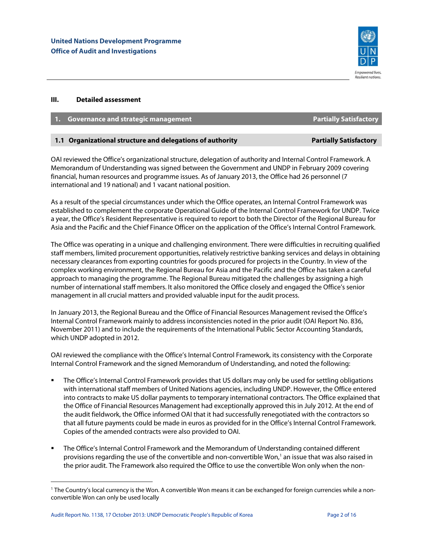

## **III. Detailed assessment**

| 1. Governance and strategic management | <b>Partially Satisfactory</b> |
|----------------------------------------|-------------------------------|
|                                        |                               |

## **1.1 Organizational structure and delegations of authority <b>Partially Satisfactory Partially Satisfactory**

OAI reviewed the Office's organizational structure, delegation of authority and Internal Control Framework. A Memorandum of Understanding was signed between the Government and UNDP in February 2009 covering financial, human resources and programme issues. As of January 2013, the Office had 26 personnel (7 international and 19 national) and 1 vacant national position.

As a result of the special circumstances under which the Office operates, an Internal Control Framework was established to complement the corporate Operational Guide of the Internal Control Framework for UNDP. Twice a year, the Office's Resident Representative is required to report to both the Director of the Regional Bureau for Asia and the Pacific and the Chief Finance Officer on the application of the Office's Internal Control Framework.

The Office was operating in a unique and challenging environment. There were difficulties in recruiting qualified staff members, limited procurement opportunities, relatively restrictive banking services and delays in obtaining necessary clearances from exporting countries for goods procured for projects in the Country. In view of the complex working environment, the Regional Bureau for Asia and the Pacific and the Office has taken a careful approach to managing the programme. The Regional Bureau mitigated the challenges by assigning a high number of international staff members. It also monitored the Office closely and engaged the Office's senior management in all crucial matters and provided valuable input for the audit process.

In January 2013, the Regional Bureau and the Office of Financial Resources Management revised the Office's Internal Control Framework mainly to address inconsistencies noted in the prior audit (OAI Report No. 836, November 2011) and to include the requirements of the International Public Sector Accounting Standards, which UNDP adopted in 2012.

OAI reviewed the compliance with the Office's Internal Control Framework, its consistency with the Corporate Internal Control Framework and the signed Memorandum of Understanding, and noted the following:

- The Office's Internal Control Framework provides that US dollars may only be used for settling obligations with international staff members of United Nations agencies, including UNDP. However, the Office entered into contracts to make US dollar payments to temporary international contractors. The Office explained that the Office of Financial Resources Management had exceptionally approved this in July 2012. At the end of the audit fieldwork, the Office informed OAI that it had successfully renegotiated with the contractors so that all future payments could be made in euros as provided for in the Office's Internal Control Framework. Copies of the amended contracts were also provided to OAI.
- The Office's Internal Control Framework and the Memorandum of Understanding contained different provisions regarding the use of the convertible and non-convertible Won,<sup>1</sup> an issue that was also raised in the prior audit. The Framework also required the Office to use the convertible Won only when the non-

 $\overline{a}$ 

<sup>1</sup> The Country's local currency is the Won. A convertible Won means it can be exchanged for foreign currencies while a nonconvertible Won can only be used locally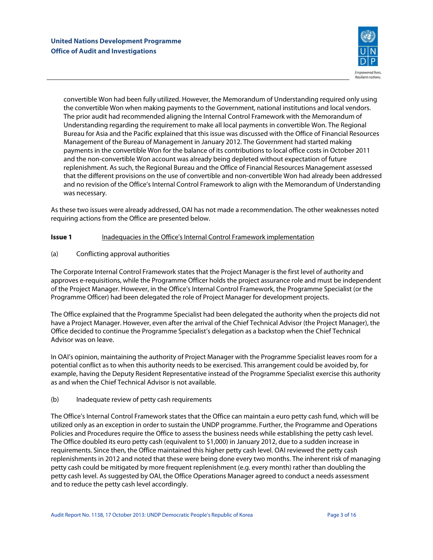

convertible Won had been fully utilized. However, the Memorandum of Understanding required only using the convertible Won when making payments to the Government, national institutions and local vendors. The prior audit had recommended aligning the Internal Control Framework with the Memorandum of Understanding regarding the requirement to make all local payments in convertible Won. The Regional Bureau for Asia and the Pacific explained that this issue was discussed with the Office of Financial Resources Management of the Bureau of Management in January 2012. The Government had started making payments in the convertible Won for the balance of its contributions to local office costs in October 2011 and the non-convertible Won account was already being depleted without expectation of future replenishment. As such, the Regional Bureau and the Office of Financial Resources Management assessed that the different provisions on the use of convertible and non-convertible Won had already been addressed and no revision of the Office's Internal Control Framework to align with the Memorandum of Understanding was necessary.

As these two issues were already addressed, OAI has not made a recommendation. The other weaknesses noted requiring actions from the Office are presented below.

## **Issue 1** Inadequacies in the Office's Internal Control Framework implementation

## (a) Conflicting approval authorities

The Corporate Internal Control Framework states that the Project Manager is the first level of authority and approves e-requisitions, while the Programme Officer holds the project assurance role and must be independent of the Project Manager. However, in the Office's Internal Control Framework, the Programme Specialist (or the Programme Officer) had been delegated the role of Project Manager for development projects.

The Office explained that the Programme Specialist had been delegated the authority when the projects did not have a Project Manager. However, even after the arrival of the Chief Technical Advisor (the Project Manager), the Office decided to continue the Programme Specialist's delegation as a backstop when the Chief Technical Advisor was on leave.

In OAI's opinion, maintaining the authority of Project Manager with the Programme Specialist leaves room for a potential conflict as to when this authority needs to be exercised. This arrangement could be avoided by, for example, having the Deputy Resident Representative instead of the Programme Specialist exercise this authority as and when the Chief Technical Advisor is not available.

## (b) Inadequate review of petty cash requirements

The Office's Internal Control Framework states that the Office can maintain a euro petty cash fund, which will be utilized only as an exception in order to sustain the UNDP programme. Further, the Programme and Operations Policies and Procedures require the Office to assess the business needs while establishing the petty cash level. The Office doubled its euro petty cash (equivalent to \$1,000) in January 2012, due to a sudden increase in requirements. Since then, the Office maintained this higher petty cash level. OAI reviewed the petty cash replenishments in 2012 and noted that these were being done every two months. The inherent risk of managing petty cash could be mitigated by more frequent replenishment (e.g. every month) rather than doubling the petty cash level. As suggested by OAI, the Office Operations Manager agreed to conduct a needs assessment and to reduce the petty cash level accordingly.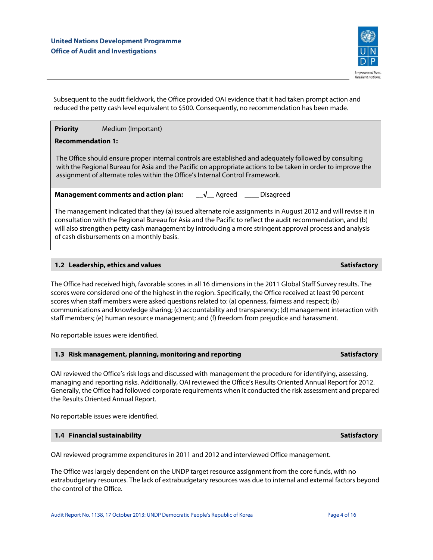

Subsequent to the audit fieldwork, the Office provided OAI evidence that it had taken prompt action and reduced the petty cash level equivalent to \$500. Consequently, no recommendation has been made.

## **Priority** Medium (Important)

## **Recommendation 1:**

The Office should ensure proper internal controls are established and adequately followed by consulting with the Regional Bureau for Asia and the Pacific on appropriate actions to be taken in order to improve the assignment of alternate roles within the Office's Internal Control Framework.

**Management comments and action plan:** \_\_√\_\_ Agreed \_\_\_\_ Disagreed

The management indicated that they (a) issued alternate role assignments in August 2012 and will revise it in consultation with the Regional Bureau for Asia and the Pacific to reflect the audit recommendation, and (b) will also strengthen petty cash management by introducing a more stringent approval process and analysis of cash disbursements on a monthly basis.

## **1.2 Leadership, ethics and values Satisfactory** Satisfactory Satisfactory

The Office had received high, favorable scores in all 16 dimensions in the 2011 Global Staff Survey results. The scores were considered one of the highest in the region. Specifically, the Office received at least 90 percent scores when staff members were asked questions related to: (a) openness, fairness and respect; (b) communications and knowledge sharing; (c) accountability and transparency; (d) management interaction with staff members; (e) human resource management; and (f) freedom from prejudice and harassment.

No reportable issues were identified.

### **1.3 Risk management, planning, monitoring and reporting Satisfactory Satisfactory**

OAI reviewed the Office's risk logs and discussed with management the procedure for identifying, assessing, managing and reporting risks. Additionally, OAI reviewed the Office's Results Oriented Annual Report for 2012. Generally, the Office had followed corporate requirements when it conducted the risk assessment and prepared the Results Oriented Annual Report.

No reportable issues were identified.

## **1.4 Financial sustainability Satisfactory** Satisfactory

OAI reviewed programme expenditures in 2011 and 2012 and interviewed Office management.

The Office was largely dependent on the UNDP target resource assignment from the core funds, with no extrabudgetary resources. The lack of extrabudgetary resources was due to internal and external factors beyond the control of the Office.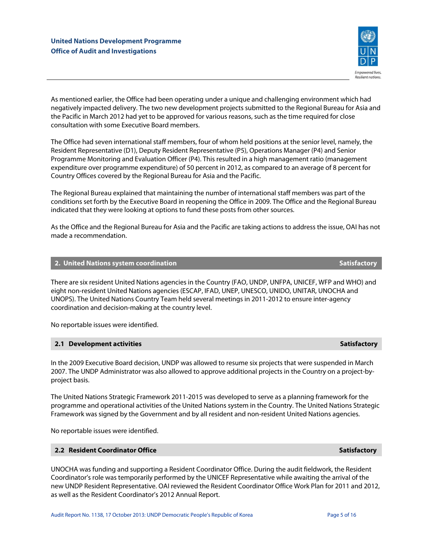

As mentioned earlier, the Office had been operating under a unique and challenging environment which had negatively impacted delivery. The two new development projects submitted to the Regional Bureau for Asia and the Pacific in March 2012 had yet to be approved for various reasons, such as the time required for close consultation with some Executive Board members.

The Office had seven international staff members, four of whom held positions at the senior level, namely, the Resident Representative (D1), Deputy Resident Representative (P5), Operations Manager (P4) and Senior Programme Monitoring and Evaluation Officer (P4). This resulted in a high management ratio (management expenditure over programme expenditure) of 50 percent in 2012, as compared to an average of 8 percent for Country Offices covered by the Regional Bureau for Asia and the Pacific.

The Regional Bureau explained that maintaining the number of international staff members was part of the conditions set forth by the Executive Board in reopening the Office in 2009. The Office and the Regional Bureau indicated that they were looking at options to fund these posts from other sources.

As the Office and the Regional Bureau for Asia and the Pacific are taking actions to address the issue, OAI has not made a recommendation.

## **2. United Nations system coordination Satisfactory Adventure Control of Satisfactory Satisfactory Adventure Control of Satisfactory Adventure Control of Satisfactory Adventure Control of Satisfactory Adventure Control of**

There are six resident United Nations agencies in the Country (FAO, UNDP, UNFPA, UNICEF, WFP and WHO) and eight non-resident United Nations agencies (ESCAP, IFAD, UNEP, UNESCO, UNIDO, UNITAR, UNOCHA and UNOPS). The United Nations Country Team held several meetings in 2011-2012 to ensure inter-agency coordination and decision-making at the country level.

No reportable issues were identified.

## **2.1 Development activities Satisfactory Activities Satisfactory Activities Satisfactory Activities**

In the 2009 Executive Board decision, UNDP was allowed to resume six projects that were suspended in March 2007. The UNDP Administrator was also allowed to approve additional projects in the Country on a project-byproject basis.

The United Nations Strategic Framework 2011-2015 was developed to serve as a planning framework for the programme and operational activities of the United Nations system in the Country. The United Nations Strategic Framework was signed by the Government and by all resident and non-resident United Nations agencies.

No reportable issues were identified.

### **2.2 Resident Coordinator Office Satisfactory Adventure Coordinator Satisfactory Adventure Coordinator Office**

UNOCHA was funding and supporting a Resident Coordinator Office. During the audit fieldwork, the Resident Coordinator's role was temporarily performed by the UNICEF Representative while awaiting the arrival of the new UNDP Resident Representative. OAI reviewed the Resident Coordinator Office Work Plan for 2011 and 2012, as well as the Resident Coordinator's 2012 Annual Report.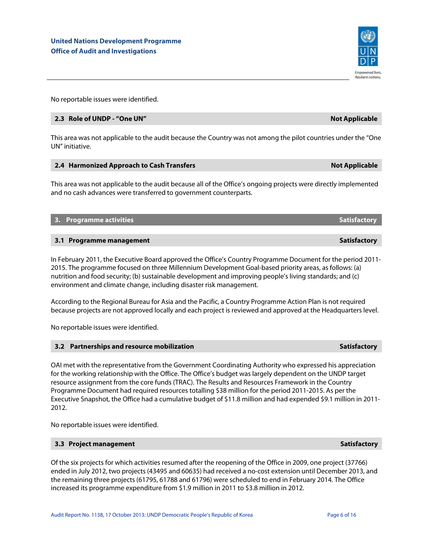No reportable issues were identified.

## **2.3 Role of UNDP - "One UN" Not Applicable**

This area was not applicable to the audit because the Country was not among the pilot countries under the "One UN" initiative.

## **2.4 Harmonized Approach to Cash Transfers Not Applicable 10 Applicable 10 Applicable 10 Applicable 10 Applicable 10 Applicable 10 Applicable 10 Applicable 10 Applicable 10 Applicable 10 Applicable 10 Applicable 10 Applica**

environment and climate change, including disaster risk management.

This area was not applicable to the audit because all of the Office's ongoing projects were directly implemented and no cash advances were transferred to government counterparts.

**3. Programme activities Satisfactory Activities Satisfactory Activities Satisfactory Activities Satisfactory** 

| 3.1 Programme management                                                                                    | <b>Satisfactory</b> |
|-------------------------------------------------------------------------------------------------------------|---------------------|
|                                                                                                             |                     |
| In February 2011, the Executive Board approved the Office's Country Programme Document for the period 2011- |                     |
| 2015. The programme focused on three Millennium Development Goal-based priority areas, as follows: (a)      |                     |
| nutrition and food security; (b) sustainable development and improving people's living standards; and (c)   |                     |

According to the Regional Bureau for Asia and the Pacific, a Country Programme Action Plan is not required because projects are not approved locally and each project is reviewed and approved at the Headquarters level.

No reportable issues were identified.

| OAI met with the representative from the Government Coordinating Authority who expressed his appreciation        |
|------------------------------------------------------------------------------------------------------------------|
| for the working relationship with the Office. The Office's budget was largely dependent on the UNDP target       |
| resource assignment from the core funds (TRAC). The Results and Resources Framework in the Country               |
| Programme Document had required resources totalling \$38 million for the period 2011-2015. As per the            |
| Executive Snapshot, the Office had a cumulative budget of \$11.8 million and had expended \$9.1 million in 2011- |
| 2012.                                                                                                            |

No reportable issues were identified.

## **3.3 Project management Satisfactory** Satisfactory

Of the six projects for which activities resumed after the reopening of the Office in 2009, one project (37766) ended in July 2012, two projects (43495 and 60635) had received a no-cost extension until December 2013, and the remaining three projects (61795, 61788 and 61796) were scheduled to end in February 2014. The Office increased its programme expenditure from \$1.9 million in 2011 to \$3.8 million in 2012.



**Resilient nations.** 

**3.2 Partnerships and resource mobilization Satisfactory Satisfactory Satisfactory Satisfactory Satisfactory**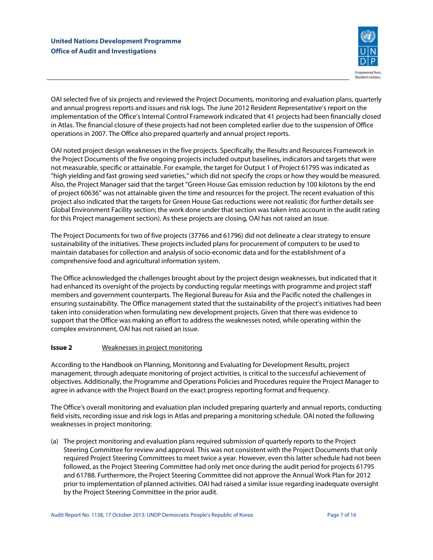

OAI selected five of six projects and reviewed the Project Documents, monitoring and evaluation plans, quarterly and annual progress reports and issues and risk logs. The June 2012 Resident Representative's report on the implementation of the Office's Internal Control Framework indicated that 41 projects had been financially closed in Atlas. The financial closure of these projects had not been completed earlier due to the suspension of Office operations in 2007. The Office also prepared quarterly and annual project reports.

OAI noted project design weaknesses in the five projects. Specifically, the Results and Resources Framework in the Project Documents of the five ongoing projects included output baselines, indicators and targets that were not measurable, specific or attainable. For example, the target for Output 1 of Project 61795 was indicated as "high yielding and fast growing seed varieties," which did not specify the crops or how they would be measured. Also, the Project Manager said that the target "Green House Gas emission reduction by 100 kilotons by the end of project 60636" was not attainable given the time and resources for the project. The recent evaluation of this project also indicated that the targets for Green House Gas reductions were not realistic (for further details see Global Environment Facility section; the work done under that section was taken into account in the audit rating for this Project management section). As these projects are closing, OAI has not raised an issue.

The Project Documents for two of five projects (37766 and 61796) did not delineate a clear strategy to ensure sustainability of the initiatives. These projects included plans for procurement of computers to be used to maintain databases for collection and analysis of socio-economic data and for the establishment of a comprehensive food and agricultural information system.

The Office acknowledged the challenges brought about by the project design weaknesses, but indicated that it had enhanced its oversight of the projects by conducting regular meetings with programme and project staff members and government counterparts. The Regional Bureau for Asia and the Pacific noted the challenges in ensuring sustainability. The Office management stated that the sustainability of the project's initiatives had been taken into consideration when formulating new development projects. Given that there was evidence to support that the Office was making an effort to address the weaknesses noted, while operating within the complex environment, OAI has not raised an issue.

## **Issue 2** Weaknesses in project monitoring

According to the Handbook on Planning, Monitoring and Evaluating for Development Results, project management, through adequate monitoring of project activities, is critical to the successful achievement of objectives. Additionally, the Programme and Operations Policies and Procedures require the Project Manager to agree in advance with the Project Board on the exact progress reporting format and frequency.

The Office's overall monitoring and evaluation plan included preparing quarterly and annual reports, conducting field visits, recording issue and risk logs in Atlas and preparing a monitoring schedule. OAI noted the following weaknesses in project monitoring:

(a) The project monitoring and evaluation plans required submission of quarterly reports to the Project Steering Committee for review and approval. This was not consistent with the Project Documents that only required Project Steering Committees to meet twice a year. However, even this latter schedule had not been followed, as the Project Steering Committee had only met once during the audit period for projects 61795 and 61788. Furthermore, the Project Steering Committee did not approve the Annual Work Plan for 2012 prior to implementation of planned activities. OAI had raised a similar issue regarding inadequate oversight by the Project Steering Committee in the prior audit.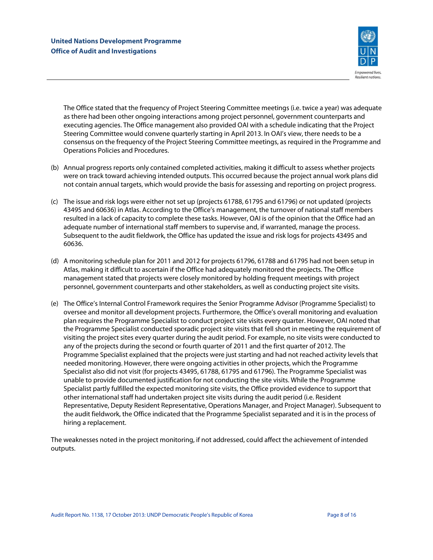

The Office stated that the frequency of Project Steering Committee meetings (i.e. twice a year) was adequate as there had been other ongoing interactions among project personnel, government counterparts and executing agencies. The Office management also provided OAI with a schedule indicating that the Project Steering Committee would convene quarterly starting in April 2013. In OAI's view, there needs to be a consensus on the frequency of the Project Steering Committee meetings, as required in the Programme and Operations Policies and Procedures.

- (b) Annual progress reports only contained completed activities, making it difficult to assess whether projects were on track toward achieving intended outputs. This occurred because the project annual work plans did not contain annual targets, which would provide the basis for assessing and reporting on project progress.
- (c) The issue and risk logs were either not set up (projects 61788, 61795 and 61796) or not updated (projects 43495 and 60636) in Atlas. According to the Office's management, the turnover of national staff members resulted in a lack of capacity to complete these tasks. However, OAI is of the opinion that the Office had an adequate number of international staff members to supervise and, if warranted, manage the process. Subsequent to the audit fieldwork, the Office has updated the issue and risk logs for projects 43495 and 60636.
- (d) A monitoring schedule plan for 2011 and 2012 for projects 61796, 61788 and 61795 had not been setup in Atlas, making it difficult to ascertain if the Office had adequately monitored the projects. The Office management stated that projects were closely monitored by holding frequent meetings with project personnel, government counterparts and other stakeholders, as well as conducting project site visits.
- (e) The Office's Internal Control Framework requires the Senior Programme Advisor (Programme Specialist) to oversee and monitor all development projects. Furthermore, the Office's overall monitoring and evaluation plan requires the Programme Specialist to conduct project site visits every quarter. However, OAI noted that the Programme Specialist conducted sporadic project site visits that fell short in meeting the requirement of visiting the project sites every quarter during the audit period. For example, no site visits were conducted to any of the projects during the second or fourth quarter of 2011 and the first quarter of 2012. The Programme Specialist explained that the projects were just starting and had not reached activity levels that needed monitoring. However, there were ongoing activities in other projects, which the Programme Specialist also did not visit (for projects 43495, 61788, 61795 and 61796). The Programme Specialist was unable to provide documented justification for not conducting the site visits. While the Programme Specialist partly fulfilled the expected monitoring site visits, the Office provided evidence to support that other international staff had undertaken project site visits during the audit period (i.e. Resident Representative, Deputy Resident Representative, Operations Manager, and Project Manager). Subsequent to the audit fieldwork, the Office indicated that the Programme Specialist separated and it is in the process of hiring a replacement.

The weaknesses noted in the project monitoring, if not addressed, could affect the achievement of intended outputs.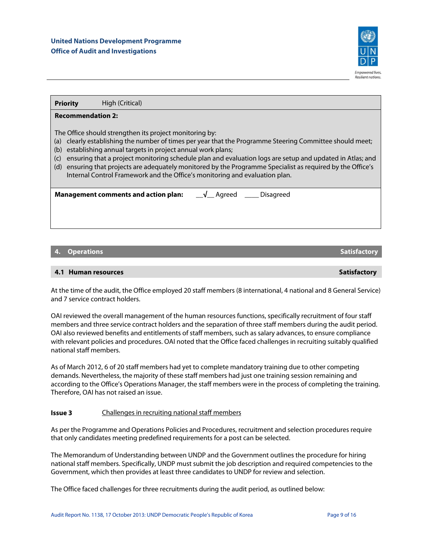

**Priority High (Critical)** 

## **Recommendation 2:**

The Office should strengthen its project monitoring by:

- (a) clearly establishing the number of times per year that the Programme Steering Committee should meet;
- (b) establishing annual targets in project annual work plans;
- (c) ensuring that a project monitoring schedule plan and evaluation logs are setup and updated in Atlas; and
- (d) ensuring that projects are adequately monitored by the Programme Specialist as required by the Office's Internal Control Framework and the Office's monitoring and evaluation plan.

**Management comments and action plan:** \_\_√\_\_ Agreed \_\_\_\_ Disagreed

## **4. Operations Satisfactory** Services of the Contractory Satisfactory Satisfactory

## **4.1 Human resources and a straight of the straight of the straight of the straight of the Satisfactory Satisfactory**

At the time of the audit, the Office employed 20 staff members (8 international, 4 national and 8 General Service) and 7 service contract holders.

OAI reviewed the overall management of the human resources functions, specifically recruitment of four staff members and three service contract holders and the separation of three staff members during the audit period. OAI also reviewed benefits and entitlements of staff members, such as salary advances, to ensure compliance with relevant policies and procedures. OAI noted that the Office faced challenges in recruiting suitably qualified national staff members.

As of March 2012, 6 of 20 staff members had yet to complete mandatory training due to other competing demands. Nevertheless, the majority of these staff members had just one training session remaining and according to the Office's Operations Manager, the staff members were in the process of completing the training. Therefore, OAI has not raised an issue.

## **Issue 3** Challenges in recruiting national staff members

As per the Programme and Operations Policies and Procedures, recruitment and selection procedures require that only candidates meeting predefined requirements for a post can be selected.

The Memorandum of Understanding between UNDP and the Government outlines the procedure for hiring national staff members. Specifically, UNDP must submit the job description and required competencies to the Government, which then provides at least three candidates to UNDP for review and selection.

The Office faced challenges for three recruitments during the audit period, as outlined below: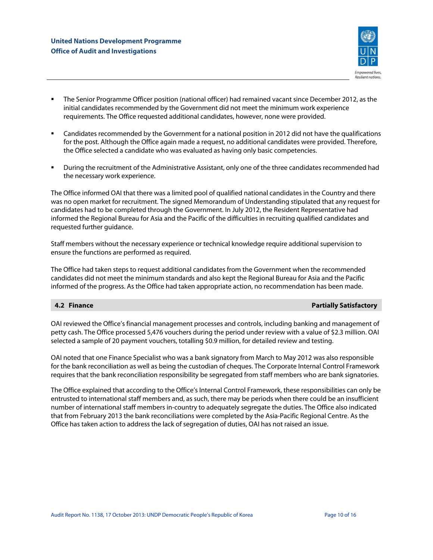

- The Senior Programme Officer position (national officer) had remained vacant since December 2012, as the initial candidates recommended by the Government did not meet the minimum work experience requirements. The Office requested additional candidates, however, none were provided.
- Candidates recommended by the Government for a national position in 2012 did not have the qualifications for the post. Although the Office again made a request, no additional candidates were provided. Therefore, the Office selected a candidate who was evaluated as having only basic competencies.
- During the recruitment of the Administrative Assistant, only one of the three candidates recommended had the necessary work experience.

The Office informed OAI that there was a limited pool of qualified national candidates in the Country and there was no open market for recruitment. The signed Memorandum of Understanding stipulated that any request for candidates had to be completed through the Government. In July 2012, the Resident Representative had informed the Regional Bureau for Asia and the Pacific of the difficulties in recruiting qualified candidates and requested further guidance.

Staff members without the necessary experience or technical knowledge require additional supervision to ensure the functions are performed as required.

The Office had taken steps to request additional candidates from the Government when the recommended candidates did not meet the minimum standards and also kept the Regional Bureau for Asia and the Pacific informed of the progress. As the Office had taken appropriate action, no recommendation has been made.

## **4.2 Finance Partially Satisfactory Partially Satisfactory**

OAI reviewed the Office's financial management processes and controls, including banking and management of petty cash. The Office processed 5,476 vouchers during the period under review with a value of \$2.3 million. OAI selected a sample of 20 payment vouchers, totalling \$0.9 million, for detailed review and testing.

OAI noted that one Finance Specialist who was a bank signatory from March to May 2012 was also responsible for the bank reconciliation as well as being the custodian of cheques. The Corporate Internal Control Framework requires that the bank reconciliation responsibility be segregated from staff members who are bank signatories.

The Office explained that according to the Office's Internal Control Framework, these responsibilities can only be entrusted to international staff members and, as such, there may be periods when there could be an insufficient number of international staff members in-country to adequately segregate the duties. The Office also indicated that from February 2013 the bank reconciliations were completed by the Asia-Pacific Regional Centre. As the Office has taken action to address the lack of segregation of duties, OAI has not raised an issue.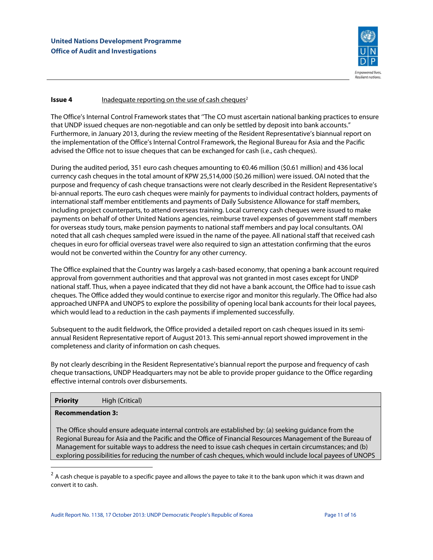

## **Issue 4 Inadequate reporting on the use of cash cheques<sup>2</sup>**

The Office's Internal Control Framework states that ''The CO must ascertain national banking practices to ensure that UNDP issued cheques are non-negotiable and can only be settled by deposit into bank accounts." Furthermore, in January 2013, during the review meeting of the Resident Representative's biannual report on the implementation of the Office's Internal Control Framework, the Regional Bureau for Asia and the Pacific advised the Office not to issue cheques that can be exchanged for cash (i.e., cash cheques).

During the audited period, 351 euro cash cheques amounting to €0.46 million (\$0.61 million) and 436 local currency cash cheques in the total amount of KPW 25,514,000 (\$0.26 million) were issued. OAI noted that the purpose and frequency of cash cheque transactions were not clearly described in the Resident Representative's bi-annual reports. The euro cash cheques were mainly for payments to individual contract holders, payments of international staff member entitlements and payments of Daily Subsistence Allowance for staff members, including project counterparts, to attend overseas training. Local currency cash cheques were issued to make payments on behalf of other United Nations agencies, reimburse travel expenses of government staff members for overseas study tours, make pension payments to national staff members and pay local consultants. OAI noted that all cash cheques sampled were issued in the name of the payee. All national staff that received cash cheques in euro for official overseas travel were also required to sign an attestation confirming that the euros would not be converted within the Country for any other currency.

The Office explained that the Country was largely a cash-based economy, that opening a bank account required approval from government authorities and that approval was not granted in most cases except for UNDP national staff. Thus, when a payee indicated that they did not have a bank account, the Office had to issue cash cheques. The Office added they would continue to exercise rigor and monitor this regularly. The Office had also approached UNFPA and UNOPS to explore the possibility of opening local bank accounts for their local payees, which would lead to a reduction in the cash payments if implemented successfully.

Subsequent to the audit fieldwork, the Office provided a detailed report on cash cheques issued in its semiannual Resident Representative report of August 2013. This semi-annual report showed improvement in the completeness and clarity of information on cash cheques.

By not clearly describing in the Resident Representative's biannual report the purpose and frequency of cash cheque transactions, UNDP Headquarters may not be able to provide proper guidance to the Office regarding effective internal controls over disbursements.

**Priority** High (Critical)

## **Recommendation 3:**

 $\overline{a}$ 

The Office should ensure adequate internal controls are established by: (a) seeking guidance from the Regional Bureau for Asia and the Pacific and the Office of Financial Resources Management of the Bureau of Management for suitable ways to address the need to issue cash cheques in certain circumstances; and (b) exploring possibilities for reducing the number of cash cheques, which would include local payees of UNOPS

 $2\,$  A cash cheque is payable to a specific payee and allows the payee to take it to the bank upon which it was drawn and convert it to cash.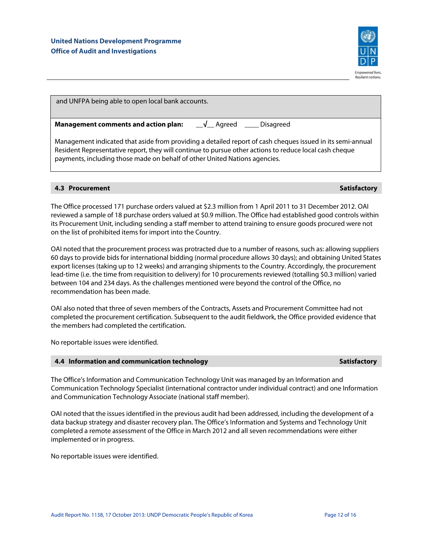

| and UNFPA being able to open local bank accounts.                                                                                                                                                                                                                                                  |  |  |
|----------------------------------------------------------------------------------------------------------------------------------------------------------------------------------------------------------------------------------------------------------------------------------------------------|--|--|
| $\sqrt{\phantom{a}}$ Agreed $\phantom{a}\phantom{a}$ Disagreed<br><b>Management comments and action plan:</b>                                                                                                                                                                                      |  |  |
| Management indicated that aside from providing a detailed report of cash cheques issued in its semi-annual<br>Resident Representative report, they will continue to pursue other actions to reduce local cash cheque<br>payments, including those made on behalf of other United Nations agencies. |  |  |

## **4.3 Procurement Satisfactory Adventure Contract Contract Contract Contract Contract Contract Contract Contract Contract Contract Contract Contract Contract Contract Contract Contract Contract Contract Contract Contract Co**

The Office processed 171 purchase orders valued at \$2.3 million from 1 April 2011 to 31 December 2012. OAI reviewed a sample of 18 purchase orders valued at \$0.9 million. The Office had established good controls within its Procurement Unit, including sending a staff member to attend training to ensure goods procured were not on the list of prohibited items for import into the Country.

OAI noted that the procurement process was protracted due to a number of reasons, such as: allowing suppliers 60 days to provide bids for international bidding (normal procedure allows 30 days); and obtaining United States export licenses (taking up to 12 weeks) and arranging shipments to the Country. Accordingly, the procurement lead-time (i.e. the time from requisition to delivery) for 10 procurements reviewed (totalling \$0.3 million) varied between 104 and 234 days. As the challenges mentioned were beyond the control of the Office, no recommendation has been made.

OAI also noted that three of seven members of the Contracts, Assets and Procurement Committee had not completed the procurement certification. Subsequent to the audit fieldwork, the Office provided evidence that the members had completed the certification.

No reportable issues were identified.

## **4.4 Information and communication technology Satisfactory Satisfactory Satisfactory**

The Office's Information and Communication Technology Unit was managed by an Information and Communication Technology Specialist (international contractor under individual contract) and one Information and Communication Technology Associate (national staff member).

OAI noted that the issues identified in the previous audit had been addressed, including the development of a data backup strategy and disaster recovery plan. The Office's Information and Systems and Technology Unit completed a remote assessment of the Office in March 2012 and all seven recommendations were either implemented or in progress.

No reportable issues were identified.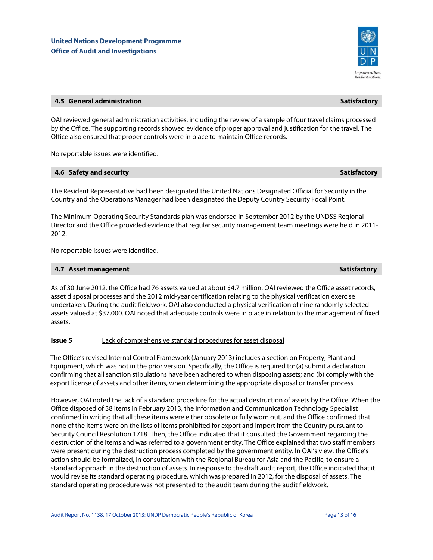## **4.5 General administration Satisfactory Administration Satisfactory Administration Satisfactory Administration**

OAI reviewed general administration activities, including the review of a sample of four travel claims processed by the Office. The supporting records showed evidence of proper approval and justification for the travel. The Office also ensured that proper controls were in place to maintain Office records.

No reportable issues were identified.

#### **4.6 Safety and security Satisfactory Satisfactory Satisfactory**  $\sim$  Satisfactory  $\sim$  Satisfactory  $\sim$

The Resident Representative had been designated the United Nations Designated Official for Security in the Country and the Operations Manager had been designated the Deputy Country Security Focal Point.

The Minimum Operating Security Standards plan was endorsed in September 2012 by the UNDSS Regional Director and the Office provided evidence that regular security management team meetings were held in 2011- 2012.

No reportable issues were identified.

## **4.7 Asset management Satisfactory According to the Satisfactory According to the Satisfactory According to the Satisfactory According to the Satisfactory According to the Satisfactory According to the Satisfactory Accordi**

As of 30 June 2012, the Office had 76 assets valued at about \$4.7 million. OAI reviewed the Office asset records, asset disposal processes and the 2012 mid-year certification relating to the physical verification exercise undertaken. During the audit fieldwork, OAI also conducted a physical verification of nine randomly selected assets valued at \$37,000. OAI noted that adequate controls were in place in relation to the management of fixed assets.

## **Issue 5** Lack of comprehensive standard procedures for asset disposal

The Office's revised Internal Control Framework (January 2013) includes a section on Property, Plant and Equipment, which was not in the prior version. Specifically, the Office is required to: (a) submit a declaration confirming that all sanction stipulations have been adhered to when disposing assets; and (b) comply with the export license of assets and other items, when determining the appropriate disposal or transfer process.

However, OAI noted the lack of a standard procedure for the actual destruction of assets by the Office. When the Office disposed of 38 items in February 2013, the Information and Communication Technology Specialist confirmed in writing that all these items were either obsolete or fully worn out, and the Office confirmed that none of the items were on the lists of items prohibited for export and import from the Country pursuant to Security Council Resolution 1718. Then, the Office indicated that it consulted the Government regarding the destruction of the items and was referred to a government entity. The Office explained that two staff members were present during the destruction process completed by the government entity. In OAI's view, the Office's action should be formalized, in consultation with the Regional Bureau for Asia and the Pacific, to ensure a standard approach in the destruction of assets. In response to the draft audit report, the Office indicated that it would revise its standard operating procedure, which was prepared in 2012, for the disposal of assets. The standard operating procedure was not presented to the audit team during the audit fieldwork.

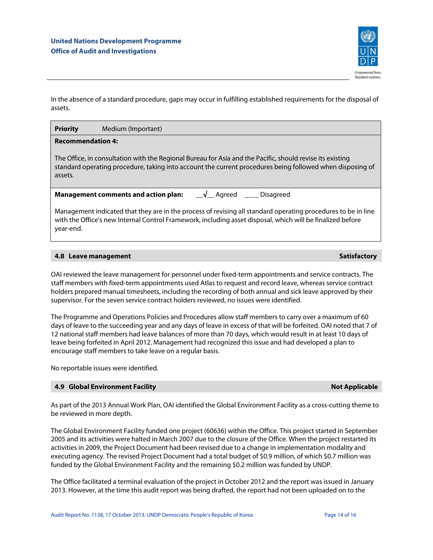

In the absence of a standard procedure, gaps may occur in fulfilling established requirements for the disposal of assets.

## **Priority** Medium (Important)

## **Recommendation 4:**

The Office, in consultation with the Regional Bureau for Asia and the Pacific, should revise its existing standard operating procedure, taking into account the current procedures being followed when disposing of assets.

| Management comments and action plan: | __√__ Agreed | <b>Disagreed</b> |
|--------------------------------------|--------------|------------------|
|--------------------------------------|--------------|------------------|

Management indicated that they are in the process of revising all standard operating procedures to be in line with the Office's new Internal Control Framework, including asset disposal, which will be finalized before year-end.

## **4.8 Leave management Satisfactory Adventure Community Community Community Community Community Community Community**

OAI reviewed the leave management for personnel under fixed-term appointments and service contracts. The staff members with fixed-term appointments used Atlas to request and record leave, whereas service contract holders prepared manual timesheets, including the recording of both annual and sick leave approved by their supervisor. For the seven service contract holders reviewed, no issues were identified.

The Programme and Operations Policies and Procedures allow staff members to carry over a maximum of 60 days of leave to the succeeding year and any days of leave in excess of that will be forfeited. OAI noted that 7 of 12 national staff members had leave balances of more than 70 days, which would result in at least 10 days of leave being forfeited in April 2012. Management had recognized this issue and had developed a plan to encourage staff members to take leave on a regular basis.

No reportable issues were identified.

## **4.9 Global Environment Facility Alternation Community Community Community Community Community Community Community**

## As part of the 2013 Annual Work Plan, OAI identified the Global Environment Facility as a cross-cutting theme to be reviewed in more depth.

The Global Environment Facility funded one project (60636) within the Office. This project started in September 2005 and its activities were halted in March 2007 due to the closure of the Office. When the project restarted its activities in 2009, the Project Document had been revised due to a change in implementation modality and executing agency. The revised Project Document had a total budget of \$0.9 million, of which \$0.7 million was funded by the Global Environment Facility and the remaining \$0.2 million was funded by UNDP.

The Office facilitated a terminal evaluation of the project in October 2012 and the report was issued in January 2013. However, at the time this audit report was being drafted, the report had not been uploaded on to the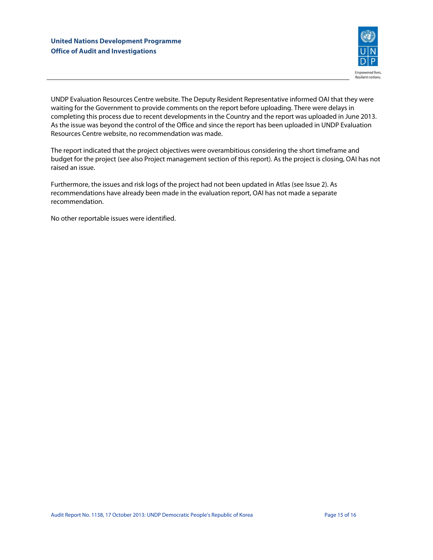

UNDP Evaluation Resources Centre website. The Deputy Resident Representative informed OAI that they were waiting for the Government to provide comments on the report before uploading. There were delays in completing this process due to recent developments in the Country and the report was uploaded in June 2013. As the issue was beyond the control of the Office and since the report has been uploaded in UNDP Evaluation Resources Centre website, no recommendation was made.

The report indicated that the project objectives were overambitious considering the short timeframe and budget for the project (see also Project management section of this report). As the project is closing, OAI has not raised an issue.

Furthermore, the issues and risk logs of the project had not been updated in Atlas (see Issue 2). As recommendations have already been made in the evaluation report, OAI has not made a separate recommendation.

No other reportable issues were identified.